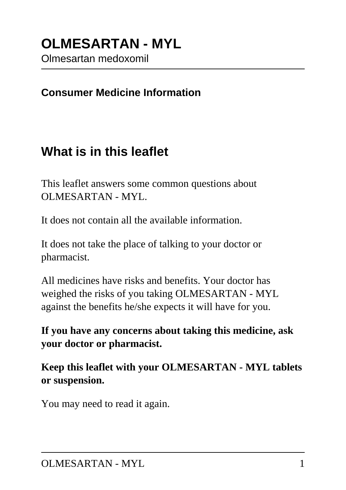#### **Consumer Medicine Information**

### **What is in this leaflet**

This leaflet answers some common questions about OLMESARTAN - MYL.

It does not contain all the available information.

It does not take the place of talking to your doctor or pharmacist.

All medicines have risks and benefits. Your doctor has weighed the risks of you taking OLMESARTAN - MYL against the benefits he/she expects it will have for you.

**If you have any concerns about taking this medicine, ask your doctor or pharmacist.**

**Keep this leaflet with your OLMESARTAN - MYL tablets or suspension.**

You may need to read it again.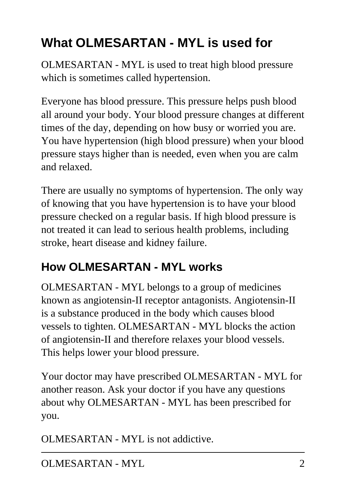# **What OLMESARTAN - MYL is used for**

OLMESARTAN - MYL is used to treat high blood pressure which is sometimes called hypertension.

Everyone has blood pressure. This pressure helps push blood all around your body. Your blood pressure changes at different times of the day, depending on how busy or worried you are. You have hypertension (high blood pressure) when your blood pressure stays higher than is needed, even when you are calm and relaxed.

There are usually no symptoms of hypertension. The only way of knowing that you have hypertension is to have your blood pressure checked on a regular basis. If high blood pressure is not treated it can lead to serious health problems, including stroke, heart disease and kidney failure.

## **How OLMESARTAN - MYL works**

OLMESARTAN - MYL belongs to a group of medicines known as angiotensin-II receptor antagonists. Angiotensin-II is a substance produced in the body which causes blood vessels to tighten. OLMESARTAN - MYL blocks the action of angiotensin-II and therefore relaxes your blood vessels. This helps lower your blood pressure.

Your doctor may have prescribed OLMESARTAN - MYL for another reason. Ask your doctor if you have any questions about why OLMESARTAN - MYL has been prescribed for you.

OLMESARTAN - MYL is not addictive.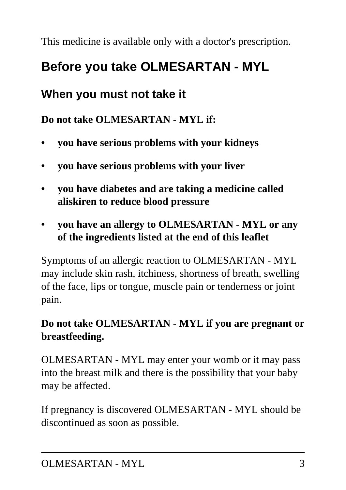This medicine is available only with a doctor's prescription.

## **Before you take OLMESARTAN - MYL**

### **When you must not take it**

**Do not take OLMESARTAN - MYL if:**

- **you have serious problems with your kidneys**
- **you have serious problems with your liver**
- **you have diabetes and are taking a medicine called aliskiren to reduce blood pressure**
- **you have an allergy to OLMESARTAN MYL or any of the ingredients listed at the end of this leaflet**

Symptoms of an allergic reaction to OLMESARTAN - MYL may include skin rash, itchiness, shortness of breath, swelling of the face, lips or tongue, muscle pain or tenderness or joint pain.

### **Do not take OLMESARTAN - MYL if you are pregnant or breastfeeding.**

OLMESARTAN - MYL may enter your womb or it may pass into the breast milk and there is the possibility that your baby may be affected.

If pregnancy is discovered OLMESARTAN - MYL should be discontinued as soon as possible.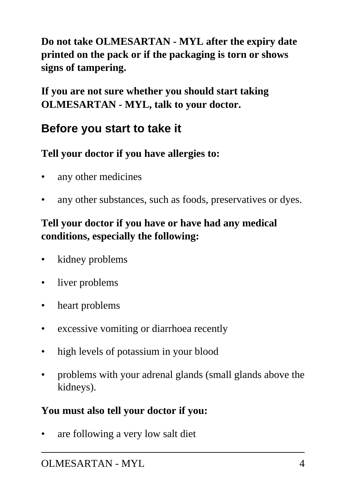**Do not take OLMESARTAN - MYL after the expiry date printed on the pack or if the packaging is torn or shows signs of tampering.**

**If you are not sure whether you should start taking OLMESARTAN - MYL, talk to your doctor.**

### **Before you start to take it**

### **Tell your doctor if you have allergies to:**

- any other medicines
- any other substances, such as foods, preservatives or dyes.

### **Tell your doctor if you have or have had any medical conditions, especially the following:**

- kidney problems
- liver problems
- heart problems
- excessive vomiting or diarrhoea recently
- high levels of potassium in your blood
- problems with your adrenal glands (small glands above the kidneys).

#### **You must also tell your doctor if you:**

are following a very low salt diet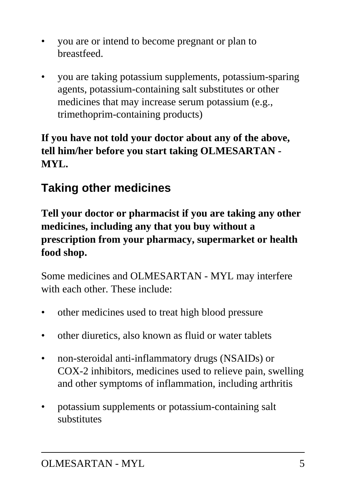- you are or intend to become pregnant or plan to breastfeed.
- you are taking potassium supplements, potassium-sparing agents, potassium-containing salt substitutes or other medicines that may increase serum potassium (e.g., trimethoprim-containing products)

### **If you have not told your doctor about any of the above, tell him/her before you start taking OLMESARTAN - MYL.**

## **Taking other medicines**

**Tell your doctor or pharmacist if you are taking any other medicines, including any that you buy without a prescription from your pharmacy, supermarket or health food shop.**

Some medicines and OLMESARTAN - MYL may interfere with each other. These include:

- other medicines used to treat high blood pressure
- other diuretics, also known as fluid or water tablets
- non-steroidal anti-inflammatory drugs (NSAIDs) or COX-2 inhibitors, medicines used to relieve pain, swelling and other symptoms of inflammation, including arthritis
- potassium supplements or potassium-containing salt substitutes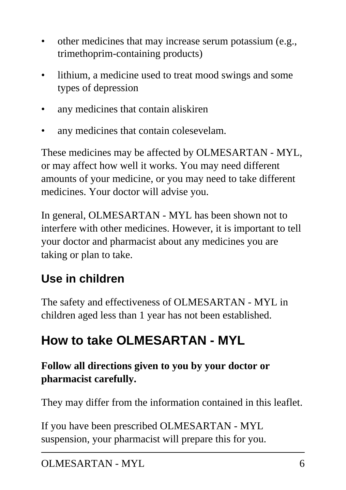- other medicines that may increase serum potassium (e.g., trimethoprim-containing products)
- lithium, a medicine used to treat mood swings and some types of depression
- any medicines that contain aliskiren
- any medicines that contain colesevelam.

These medicines may be affected by OLMESARTAN - MYL, or may affect how well it works. You may need different amounts of your medicine, or you may need to take different medicines. Your doctor will advise you.

In general, OLMESARTAN - MYL has been shown not to interfere with other medicines. However, it is important to tell your doctor and pharmacist about any medicines you are taking or plan to take.

## **Use in children**

The safety and effectiveness of OLMESARTAN - MYL in children aged less than 1 year has not been established.

# **How to take OLMESARTAN - MYL**

### **Follow all directions given to you by your doctor or pharmacist carefully.**

They may differ from the information contained in this leaflet.

If you have been prescribed OLMESARTAN - MYL suspension, your pharmacist will prepare this for you.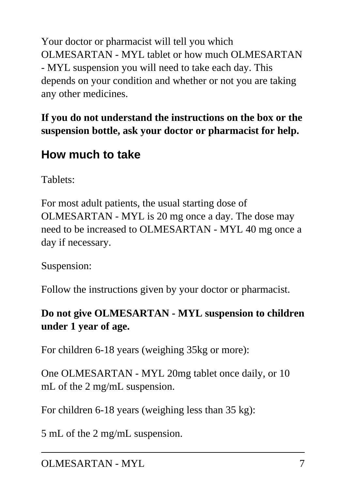Your doctor or pharmacist will tell you which OLMESARTAN - MYL tablet or how much OLMESARTAN - MYL suspension you will need to take each day. This depends on your condition and whether or not you are taking any other medicines.

**If you do not understand the instructions on the box or the suspension bottle, ask your doctor or pharmacist for help.**

### **How much to take**

Tablets:

For most adult patients, the usual starting dose of OLMESARTAN - MYL is 20 mg once a day. The dose may need to be increased to OLMESARTAN - MYL 40 mg once a day if necessary.

Suspension:

Follow the instructions given by your doctor or pharmacist.

### **Do not give OLMESARTAN - MYL suspension to children under 1 year of age.**

For children 6-18 years (weighing 35kg or more):

One OLMESARTAN - MYL 20mg tablet once daily, or 10 mL of the 2 mg/mL suspension.

For children 6-18 years (weighing less than 35 kg):

5 mL of the 2 mg/mL suspension.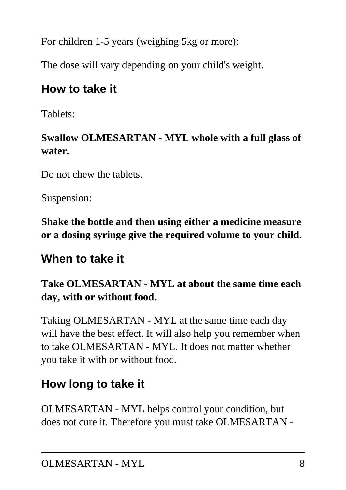For children 1-5 years (weighing 5kg or more):

The dose will vary depending on your child's weight.

### **How to take it**

Tablets:

### **Swallow OLMESARTAN - MYL whole with a full glass of water.**

Do not chew the tablets.

Suspension:

**Shake the bottle and then using either a medicine measure or a dosing syringe give the required volume to your child.**

### **When to take it**

### **Take OLMESARTAN - MYL at about the same time each day, with or without food.**

Taking OLMESARTAN - MYL at the same time each day will have the best effect. It will also help you remember when to take OLMESARTAN - MYL. It does not matter whether you take it with or without food.

## **How long to take it**

OLMESARTAN - MYL helps control your condition, but does not cure it. Therefore you must take OLMESARTAN -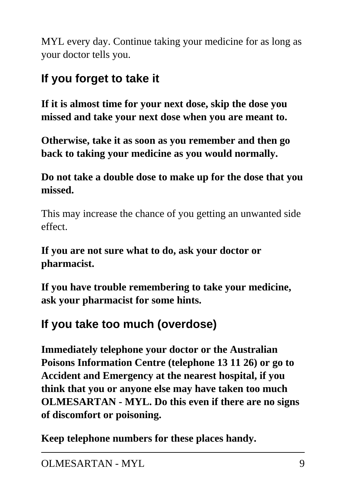MYL every day. Continue taking your medicine for as long as your doctor tells you.

## **If you forget to take it**

**If it is almost time for your next dose, skip the dose you missed and take your next dose when you are meant to.**

**Otherwise, take it as soon as you remember and then go back to taking your medicine as you would normally.**

**Do not take a double dose to make up for the dose that you missed.**

This may increase the chance of you getting an unwanted side effect.

**If you are not sure what to do, ask your doctor or pharmacist.**

**If you have trouble remembering to take your medicine, ask your pharmacist for some hints.**

## **If you take too much (overdose)**

**Immediately telephone your doctor or the Australian Poisons Information Centre (telephone 13 11 26) or go to Accident and Emergency at the nearest hospital, if you think that you or anyone else may have taken too much OLMESARTAN - MYL. Do this even if there are no signs of discomfort or poisoning.**

**Keep telephone numbers for these places handy.**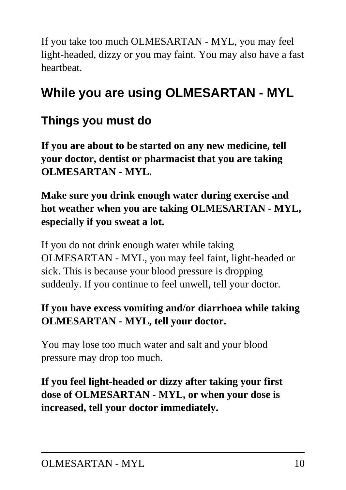If you take too much OLMESARTAN - MYL, you may feel light-headed, dizzy or you may faint. You may also have a fast heartbeat.

# **While you are using OLMESARTAN - MYL**

### **Things you must do**

**If you are about to be started on any new medicine, tell your doctor, dentist or pharmacist that you are taking OLMESARTAN - MYL.**

**Make sure you drink enough water during exercise and hot weather when you are taking OLMESARTAN - MYL, especially if you sweat a lot.**

If you do not drink enough water while taking OLMESARTAN - MYL, you may feel faint, light-headed or sick. This is because your blood pressure is dropping suddenly. If you continue to feel unwell, tell your doctor.

### **If you have excess vomiting and/or diarrhoea while taking OLMESARTAN - MYL, tell your doctor.**

You may lose too much water and salt and your blood pressure may drop too much.

**If you feel light-headed or dizzy after taking your first dose of OLMESARTAN - MYL, or when your dose is increased, tell your doctor immediately.**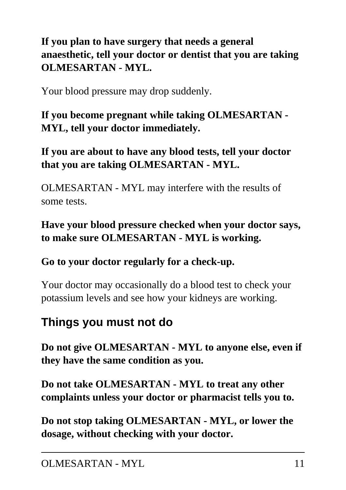**If you plan to have surgery that needs a general anaesthetic, tell your doctor or dentist that you are taking OLMESARTAN - MYL.**

Your blood pressure may drop suddenly.

**If you become pregnant while taking OLMESARTAN - MYL, tell your doctor immediately.**

**If you are about to have any blood tests, tell your doctor that you are taking OLMESARTAN - MYL.**

OLMESARTAN - MYL may interfere with the results of some tests.

**Have your blood pressure checked when your doctor says, to make sure OLMESARTAN - MYL is working.**

**Go to your doctor regularly for a check-up.**

Your doctor may occasionally do a blood test to check your potassium levels and see how your kidneys are working.

### **Things you must not do**

**Do not give OLMESARTAN - MYL to anyone else, even if they have the same condition as you.**

**Do not take OLMESARTAN - MYL to treat any other complaints unless your doctor or pharmacist tells you to.**

**Do not stop taking OLMESARTAN - MYL, or lower the dosage, without checking with your doctor.**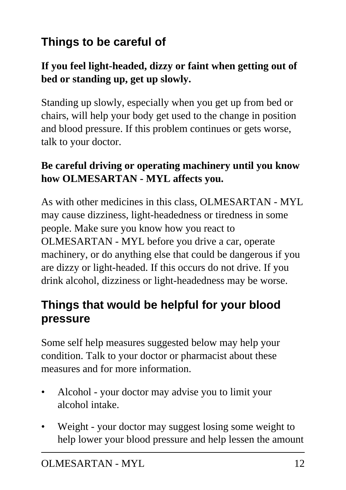## **Things to be careful of**

#### **If you feel light-headed, dizzy or faint when getting out of bed or standing up, get up slowly.**

Standing up slowly, especially when you get up from bed or chairs, will help your body get used to the change in position and blood pressure. If this problem continues or gets worse, talk to your doctor.

#### **Be careful driving or operating machinery until you know how OLMESARTAN - MYL affects you.**

As with other medicines in this class, OLMESARTAN - MYL may cause dizziness, light-headedness or tiredness in some people. Make sure you know how you react to OLMESARTAN - MYL before you drive a car, operate machinery, or do anything else that could be dangerous if you are dizzy or light-headed. If this occurs do not drive. If you drink alcohol, dizziness or light-headedness may be worse.

### **Things that would be helpful for your blood pressure**

Some self help measures suggested below may help your condition. Talk to your doctor or pharmacist about these measures and for more information.

- Alcohol your doctor may advise you to limit your alcohol intake.
- Weight your doctor may suggest losing some weight to help lower your blood pressure and help lessen the amount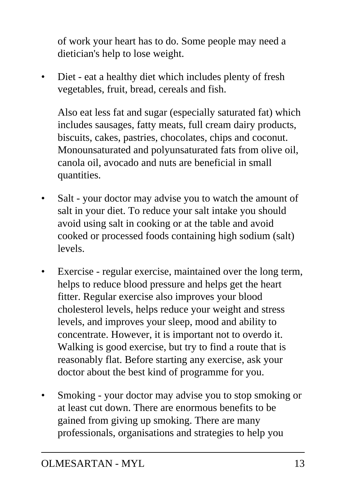of work your heart has to do. Some people may need a dietician's help to lose weight.

Diet - eat a healthy diet which includes plenty of fresh vegetables, fruit, bread, cereals and fish.

 Also eat less fat and sugar (especially saturated fat) which includes sausages, fatty meats, full cream dairy products, biscuits, cakes, pastries, chocolates, chips and coconut. Monounsaturated and polyunsaturated fats from olive oil, canola oil, avocado and nuts are beneficial in small quantities.

- Salt your doctor may advise you to watch the amount of salt in your diet. To reduce your salt intake you should avoid using salt in cooking or at the table and avoid cooked or processed foods containing high sodium (salt) levels.
- Exercise regular exercise, maintained over the long term, helps to reduce blood pressure and helps get the heart fitter. Regular exercise also improves your blood cholesterol levels, helps reduce your weight and stress levels, and improves your sleep, mood and ability to concentrate. However, it is important not to overdo it. Walking is good exercise, but try to find a route that is reasonably flat. Before starting any exercise, ask your doctor about the best kind of programme for you.
- Smoking your doctor may advise you to stop smoking or at least cut down. There are enormous benefits to be gained from giving up smoking. There are many professionals, organisations and strategies to help you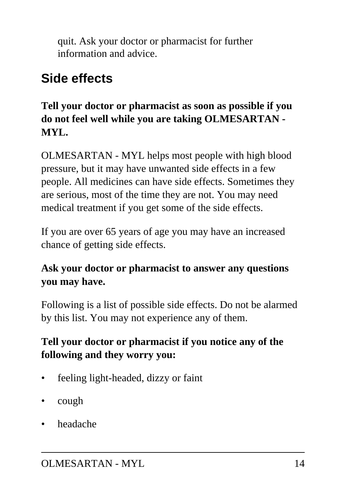quit. Ask your doctor or pharmacist for further information and advice.

## **Side effects**

#### **Tell your doctor or pharmacist as soon as possible if you do not feel well while you are taking OLMESARTAN - MYL.**

OLMESARTAN - MYL helps most people with high blood pressure, but it may have unwanted side effects in a few people. All medicines can have side effects. Sometimes they are serious, most of the time they are not. You may need medical treatment if you get some of the side effects.

If you are over 65 years of age you may have an increased chance of getting side effects.

### **Ask your doctor or pharmacist to answer any questions you may have.**

Following is a list of possible side effects. Do not be alarmed by this list. You may not experience any of them.

### **Tell your doctor or pharmacist if you notice any of the following and they worry you:**

- feeling light-headed, dizzy or faint
- cough
- headache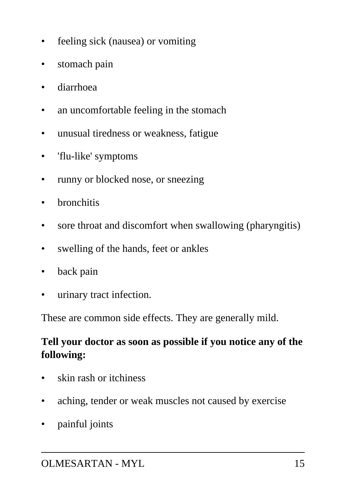- feeling sick (nausea) or vomiting
- stomach pain
- diarrhoea
- an uncomfortable feeling in the stomach
- unusual tiredness or weakness, fatigue
- 'flu-like' symptoms
- runny or blocked nose, or sneezing
- bronchitis
- sore throat and discomfort when swallowing (pharyngitis)
- swelling of the hands, feet or ankles
- back pain
- urinary tract infection.

These are common side effects. They are generally mild.

### **Tell your doctor as soon as possible if you notice any of the following:**

- skin rash or itchiness
- aching, tender or weak muscles not caused by exercise
- painful joints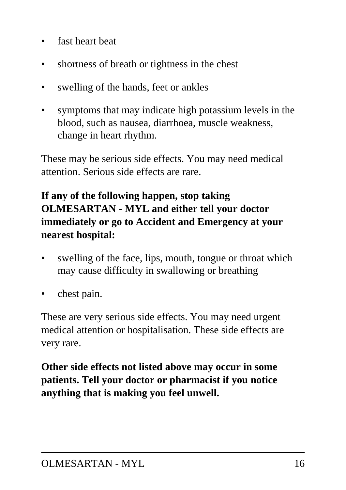- fast heart beat
- shortness of breath or tightness in the chest
- swelling of the hands, feet or ankles
- symptoms that may indicate high potassium levels in the blood, such as nausea, diarrhoea, muscle weakness, change in heart rhythm.

These may be serious side effects. You may need medical attention. Serious side effects are rare.

### **If any of the following happen, stop taking OLMESARTAN - MYL and either tell your doctor immediately or go to Accident and Emergency at your nearest hospital:**

- swelling of the face, lips, mouth, tongue or throat which may cause difficulty in swallowing or breathing
- chest pain.

These are very serious side effects. You may need urgent medical attention or hospitalisation. These side effects are very rare.

**Other side effects not listed above may occur in some patients. Tell your doctor or pharmacist if you notice anything that is making you feel unwell.**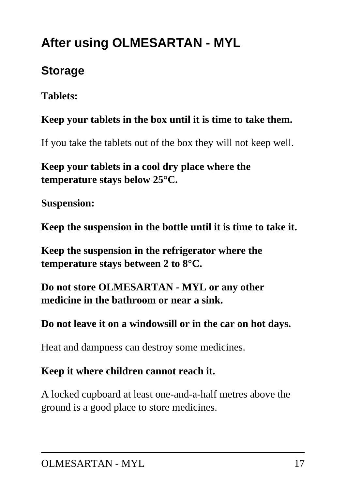# **After using OLMESARTAN - MYL**

### **Storage**

**Tablets:**

### **Keep your tablets in the box until it is time to take them.**

If you take the tablets out of the box they will not keep well.

**Keep your tablets in a cool dry place where the temperature stays below 25°C.**

**Suspension:**

**Keep the suspension in the bottle until it is time to take it.**

**Keep the suspension in the refrigerator where the temperature stays between 2 to 8°C.**

**Do not store OLMESARTAN - MYL or any other medicine in the bathroom or near a sink.**

**Do not leave it on a windowsill or in the car on hot days.**

Heat and dampness can destroy some medicines.

#### **Keep it where children cannot reach it.**

A locked cupboard at least one-and-a-half metres above the ground is a good place to store medicines.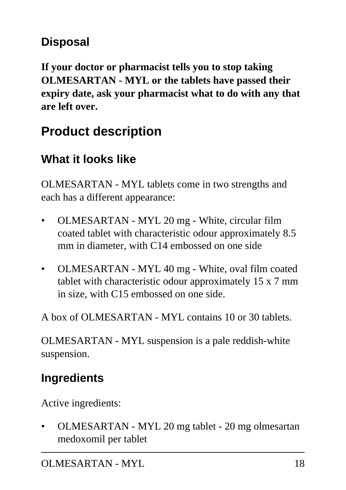### **Disposal**

**If your doctor or pharmacist tells you to stop taking OLMESARTAN - MYL or the tablets have passed their expiry date, ask your pharmacist what to do with any that are left over.**

## **Product description**

## **What it looks like**

OLMESARTAN - MYL tablets come in two strengths and each has a different appearance:

- OLMESARTAN MYL 20 mg White, circular film coated tablet with characteristic odour approximately 8.5 mm in diameter, with C14 embossed on one side
- OLMESARTAN MYL 40 mg White, oval film coated tablet with characteristic odour approximately 15 x 7 mm in size, with C15 embossed on one side.

A box of OLMESARTAN - MYL contains 10 or 30 tablets.

OLMESARTAN - MYL suspension is a pale reddish-white suspension.

## **Ingredients**

Active ingredients:

• OLMESARTAN - MYL 20 mg tablet - 20 mg olmesartan medoxomil per tablet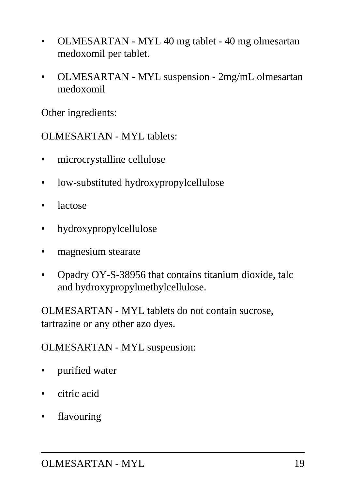- OLMESARTAN MYL 40 mg tablet 40 mg olmesartan medoxomil per tablet.
- OLMESARTAN MYL suspension 2mg/mL olmesartan medoxomil

Other ingredients:

OLMESARTAN - MYL tablets:

- microcrystalline cellulose
- low-substituted hydroxypropylcellulose
- lactose
- hydroxypropylcellulose
- magnesium stearate
- Opadry OY-S-38956 that contains titanium dioxide, talc and hydroxypropylmethylcellulose.

OLMESARTAN - MYL tablets do not contain sucrose, tartrazine or any other azo dyes.

OLMESARTAN - MYL suspension:

- purified water
- citric acid
- flavouring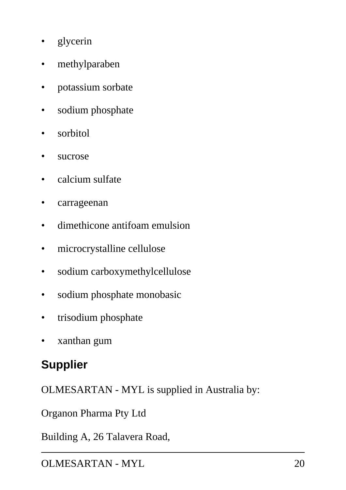- glycerin
- methylparaben
- potassium sorbate
- sodium phosphate
- sorbitol
- sucrose
- calcium sulfate
- carrageenan
- dimethicone antifoam emulsion
- microcrystalline cellulose
- sodium carboxymethylcellulose
- sodium phosphate monobasic
- trisodium phosphate
- xanthan gum

### **Supplier**

OLMESARTAN - MYL is supplied in Australia by:

Organon Pharma Pty Ltd

Building A, 26 Talavera Road,